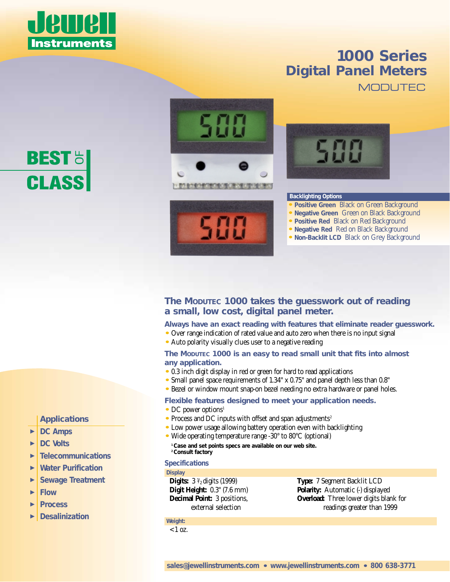

# *1000 Series Digital Panel Meters* **MODUTEC**

# **BEST CLASS**

# *Applications*

- -*DC Amps*
- $\blacktriangleright$ *DC Volts*
- $\blacktriangleright$ *Telecommunications*
- $\blacktriangleright$ *Water Purification*
- $\blacktriangleright$ *Sewage Treatment*
- -*Flow*
- $\blacktriangleright$ *Process*
- -*Desalinization*







#### **Backlighting Options**

- *•* **Positive Green** Black on Green Background
- *•* **Negative Green** Green on Black Background
- *•* **Positive Red** Black on Red Background
- *•* **Negative Red** Red on Black Background
- *•* **Non-Backlit LCD** Black on Grey Background

# *The MODUTEC 1000 takes the guesswork out of reading a small, low cost, digital panel meter.*

*Always have an exact reading with features that eliminate reader guesswork.*

- *•* Over range indication of rated value and auto zero when there is no input signal
- *•* Auto polarity visually clues user to a negative reading

### *The MODUTEC 1000 is an easy to read small unit that fits into almost any application.*

- *•* 0.3 inch digit display in red or green for hard to read applications
- *•* Small panel space requirements of 1.34" x 0.75" and panel depth less than 0.8"
- *•* Bezel or window mount snap-on bezel needing no extra hardware or panel holes.

# *Flexible features designed to meet your application needs.*

- DC power options<sup>1</sup>
- Process and DC inputs with offset and span adjustments<sup>2</sup>
- *•* Low power usage allowing battery operation even with backlighting
- *•* Wide operating temperature range -30° to 80°C (optional) **1 Case and set points specs are available on our web site. 2 Consult factory**

# *Specifications*

### **Display**

**Digits:**  $3 \frac{1}{2}$  digits (1999) **Type:** 7 Segment Backlit LCD

**Digit Height:** 0.3" (7.6 mm) **Polarity:** Automatic (-) displayed **Decimal Point:** 3 positions, **Overload:** Three lower digits blank for external selection readings greater than 1999

**Weight:**   $< 1$  oz.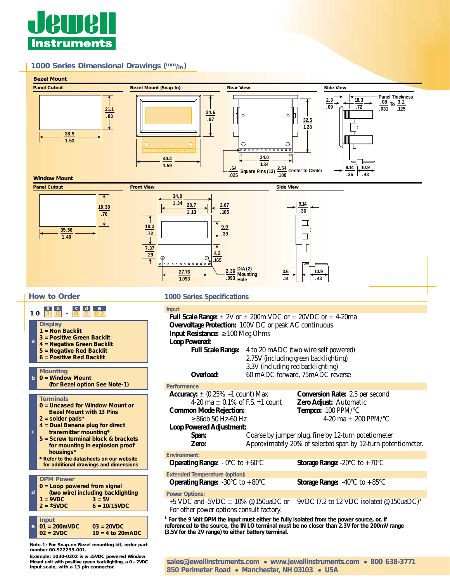

**Example: 1030-0202 is a ±5VDC powered Window**

**input scale, with a 13 pin connector.**

#### *1000 Series Dimensional Drawings (mm/in)*



**Mount unit with positive green backlighting, a 0 – 2VDC** *sales@jewellinstruments.com • www.jewellinstruments.com • 800 638-3771 850 Perimeter Road • Manchester, NH 03103 • USA*